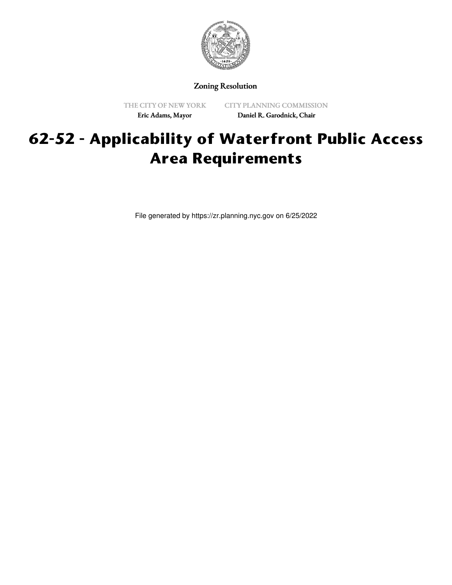

Zoning Resolution

THE CITY OF NEW YORK Eric Adams, Mayor

CITY PLANNING COMMISSION Daniel R. Garodnick, Chair

## **62-52 - Applicability of Waterfront Public Access Area Requirements**

File generated by https://zr.planning.nyc.gov on 6/25/2022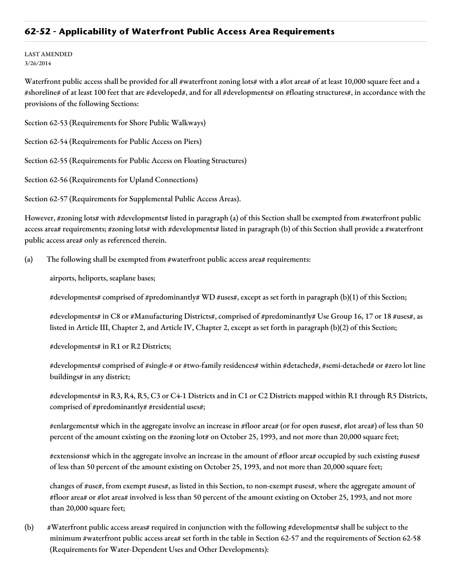## **62-52 - Applicability of Waterfront Public Access Area Requirements**

LAST AMENDED 3/26/2014

Waterfront public access shall be provided for all #waterfront zoning lots# with a #lot area# of at least 10,000 square feet and a #shoreline# of at least 100 feet that are #developed#, and for all #developments# on #floating structures#, in accordance with the provisions of the following Sections:

Section 62-53 (Requirements for Shore Public Walkways)

Section 62-54 (Requirements for Public Access on Piers)

Section 62-55 (Requirements for Public Access on Floating Structures)

Section 62-56 (Requirements for Upland Connections)

Section 62-57 (Requirements for Supplemental Public Access Areas).

However, #zoning lots# with #developments# listed in paragraph (a) of this Section shall be exempted from #waterfront public access area# requirements; #zoning lots# with #developments# listed in paragraph (b) of this Section shall provide a #waterfront public access area# only as referenced therein.

(a) The following shall be exempted from #waterfront public access area# requirements:

airports, heliports, seaplane bases;

#developments# comprised of #predominantly# WD #uses#, except as set forth in paragraph (b)(1) of this Section;

#developments# in C8 or #Manufacturing Districts#, comprised of #predominantly# Use Group 16, 17 or 18 #uses#, as listed in Article III, Chapter 2, and Article IV, Chapter 2, except as set forth in paragraph (b)(2) of this Section;

#developments# in R1 or R2 Districts;

#developments# comprised of #single-# or #two-family residences# within #detached#, #semi-detached# or #zero lot line buildings# in any district;

#developments# in R3, R4, R5, C3 or C4-1 Districts and in C1 or C2 Districts mapped within R1 through R5 Districts, comprised of #predominantly# #residential uses#;

#enlargements# which in the aggregate involve an increase in #floor area# (or for open #uses#, #lot area#) of less than 50 percent of the amount existing on the #zoning lot# on October 25, 1993, and not more than 20,000 square feet;

#extensions# which in the aggregate involve an increase in the amount of #floor area# occupied by such existing #uses# of less than 50 percent of the amount existing on October 25, 1993, and not more than 20,000 square feet;

changes of #use#, from exempt #uses#, as listed in this Section, to non-exempt #uses#, where the aggregate amount of #floor area# or #lot area# involved is less than 50 percent of the amount existing on October 25, 1993, and not more than 20,000 square feet;

(b) #Waterfront public access areas# required in conjunction with the following #developments# shall be subject to the minimum #waterfront public access area# set forth in the table in Section 62-57 and the requirements of Section 62-58 (Requirements for Water-Dependent Uses and Other Developments):